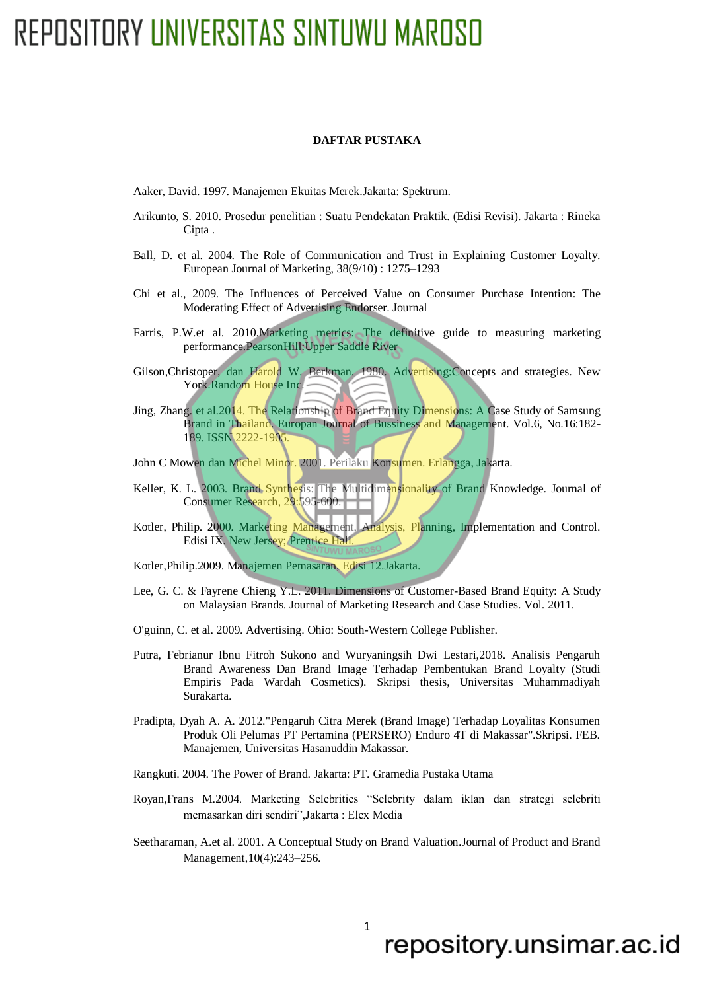## REPOSITORY UNIVERSITAS SINTUWU MAROSO

#### **DAFTAR PUSTAKA**

Aaker, David. 1997. Manajemen Ekuitas Merek.Jakarta: Spektrum.

- Arikunto, S. 2010. Prosedur penelitian : Suatu Pendekatan Praktik. (Edisi Revisi). Jakarta : Rineka Cipta .
- Ball, D. et al. 2004. The Role of Communication and Trust in Explaining Customer Loyalty. European Journal of Marketing, 38(9/10) : 1275–1293
- Chi et al., 2009. The Influences of Perceived Value on Consumer Purchase Intention: The Moderating Effect of Advertising Endorser. Journal
- Farris, P.W.et al. 2010.Marketing metrics: The definitive guide to measuring marketing performance.PearsonHill:Upper Saddle River
- Gilson,Christoper, dan Harold W. Berkman. 1980. Advertising:Concepts and strategies. New York.Random House Inc.
- Jing, Zhang. et al.2014. The Relationship of Brand Equity Dimensions: A Case Study of Samsung Brand in Thailand. Europan Journal of Bussiness and Management. Vol.6, No.16:182- 189. ISSN 2222-1905.
- John C Mowen dan Michel Minor. 2001. Perilaku Konsumen. Erlangga, Jakarta.
- Keller, K. L. 2003. Brand Synthesis: The Multidimensionality of Brand Knowledge. Journal of Consumer Research, 29:595-600.
- Kotler, Philip. 2000. Marketing Management, Analysis, Planning, Implementation and Control. Edisi IX. New Jersey; Prentice Hall.
- Kotler,Philip.2009. Manajemen Pemasaran, Edisi 12.Jakarta.
- Lee, G. C. & Fayrene Chieng Y.L. 2011. Dimensions of Customer-Based Brand Equity: A Study on Malaysian Brands. Journal of Marketing Research and Case Studies. Vol. 2011.
- O'guinn, C. et al. 2009. Advertising. Ohio: South-Western College Publisher.
- Putra, Febrianur Ibnu Fitroh Sukono and Wuryaningsih Dwi Lestari,2018. Analisis Pengaruh Brand Awareness Dan Brand Image Terhadap Pembentukan Brand Loyalty (Studi Empiris Pada Wardah Cosmetics). Skripsi thesis, Universitas Muhammadiyah Surakarta.
- Pradipta, Dyah A. A. 2012."Pengaruh Citra Merek (Brand Image) Terhadap Loyalitas Konsumen Produk Oli Pelumas PT Pertamina (PERSERO) Enduro 4T di Makassar".Skripsi. FEB. Manajemen, Universitas Hasanuddin Makassar.
- Rangkuti. 2004. The Power of Brand. Jakarta: PT. Gramedia Pustaka Utama
- Royan,Frans M.2004. Marketing Selebrities "Selebrity dalam iklan dan strategi selebriti memasarkan diri sendiri",Jakarta : Elex Media
- Seetharaman, A.et al. 2001. A Conceptual Study on Brand Valuation.Journal of Product and Brand Management,10(4):243–256.

### 1

### repository.unsimar.ac.id